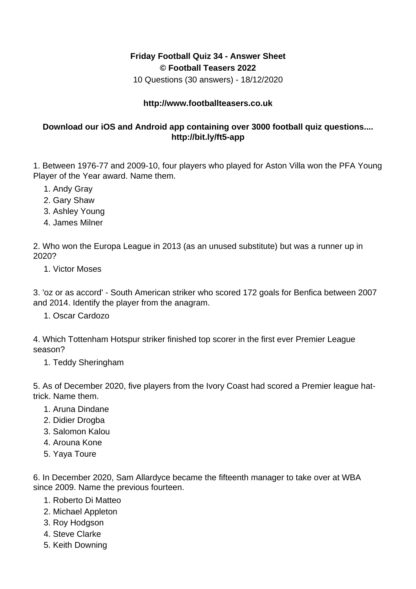## **Friday Football Quiz 34 - Answer Sheet © Football Teasers 2022**

10 Questions (30 answers) - 18/12/2020

## **http://www.footballteasers.co.uk**

## **Download our iOS and Android app containing over 3000 football quiz questions.... http://bit.ly/ft5-app**

1. Between 1976-77 and 2009-10, four players who played for Aston Villa won the PFA Young Player of the Year award. Name them.

- 1. Andy Gray
- 2. Gary Shaw
- 3. Ashley Young
- 4. James Milner

2. Who won the Europa League in 2013 (as an unused substitute) but was a runner up in 2020?

1. Victor Moses

3. 'oz or as accord' - South American striker who scored 172 goals for Benfica between 2007 and 2014. Identify the player from the anagram.

1. Oscar Cardozo

4. Which Tottenham Hotspur striker finished top scorer in the first ever Premier League season?

1. Teddy Sheringham

5. As of December 2020, five players from the Ivory Coast had scored a Premier league hattrick. Name them.

- 1. Aruna Dindane
- 2. Didier Drogba
- 3. Salomon Kalou
- 4. Arouna Kone
- 5. Yaya Toure

6. In December 2020, Sam Allardyce became the fifteenth manager to take over at WBA since 2009. Name the previous fourteen.

- 1. Roberto Di Matteo
- 2. Michael Appleton
- 3. Roy Hodgson
- 4. Steve Clarke
- 5. Keith Downing